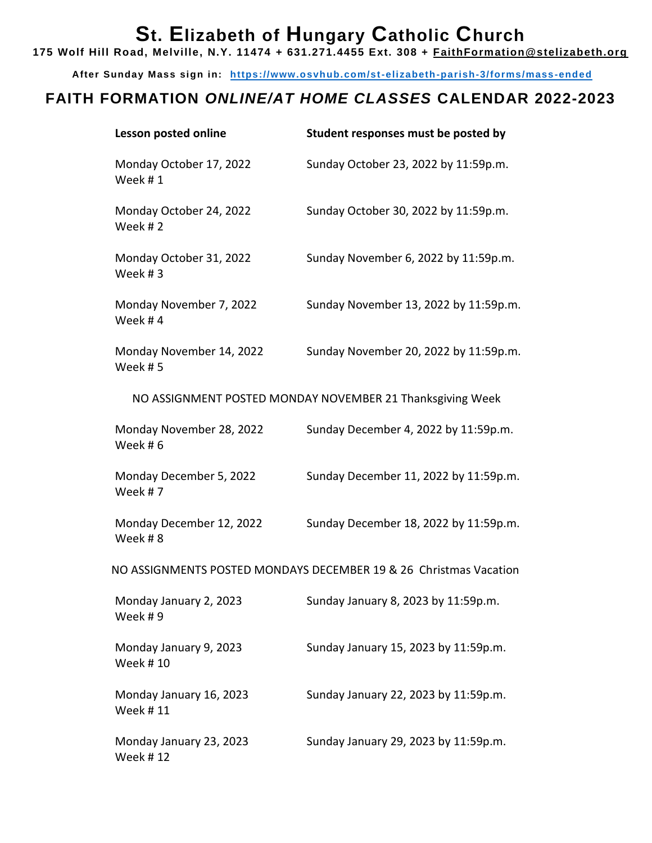## **St. Elizabeth of Hungary Catholic Church**

**175 Wolf Hill Road, Melville, N.Y. 11474 + 631.271.4455 Ext. 308 + [FaithFormation@stelizabeth.org](mailto:FaithFormation@stelizabeth.org)**

**After Sunday Mass sign in: <https://www.osvhub.com/st-elizabeth-parish-3/forms/mass-ended>**

## **FAITH FORMATION** *ONLINE/AT HOME CLASSES* **CALENDAR 2022-2023**

| Lesson posted online                       | Student responses must be posted by                               |  |  |
|--------------------------------------------|-------------------------------------------------------------------|--|--|
| Monday October 17, 2022<br>Week #1         | Sunday October 23, 2022 by 11:59p.m.                              |  |  |
| Monday October 24, 2022<br>Week #2         | Sunday October 30, 2022 by 11:59p.m.                              |  |  |
| Monday October 31, 2022<br>Week #3         | Sunday November 6, 2022 by 11:59p.m.                              |  |  |
| Monday November 7, 2022<br>Week #4         | Sunday November 13, 2022 by 11:59p.m.                             |  |  |
| Monday November 14, 2022<br>Week #5        | Sunday November 20, 2022 by 11:59p.m.                             |  |  |
|                                            | NO ASSIGNMENT POSTED MONDAY NOVEMBER 21 Thanksgiving Week         |  |  |
| Monday November 28, 2022<br>Week #6        | Sunday December 4, 2022 by 11:59p.m.                              |  |  |
| Monday December 5, 2022<br>Week #7         | Sunday December 11, 2022 by 11:59p.m.                             |  |  |
| Monday December 12, 2022<br>Week #8        | Sunday December 18, 2022 by 11:59p.m.                             |  |  |
|                                            | NO ASSIGNMENTS POSTED MONDAYS DECEMBER 19 & 26 Christmas Vacation |  |  |
| Monday January 2, 2023<br>Week #9          | Sunday January 8, 2023 by 11:59p.m                                |  |  |
| Monday January 9, 2023<br><b>Week #10</b>  | Sunday January 15, 2023 by 11:59p.m.                              |  |  |
| Monday January 16, 2023<br><b>Week #11</b> | Sunday January 22, 2023 by 11:59p.m.                              |  |  |
| Monday January 23, 2023<br><b>Week #12</b> | Sunday January 29, 2023 by 11:59p.m.                              |  |  |